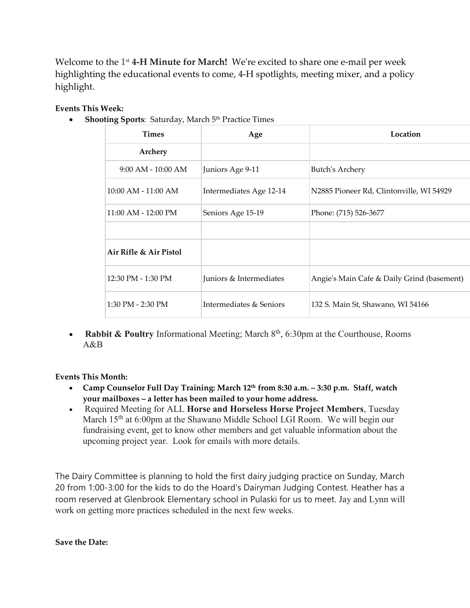Welcome to the 1 st **4-H Minute for March!** We're excited to share one e-mail per week highlighting the educational events to come, 4-H spotlights, meeting mixer, and a policy highlight.

## **Events This Week:**

**• Shooting Sports: Saturday, March 5th Practice Times** 

| $\overline{\phantom{a}}$ |                         |                                            |
|--------------------------|-------------------------|--------------------------------------------|
| <b>Times</b>             | Age                     | Location                                   |
| Archery                  |                         |                                            |
| $9:00$ AM - $10:00$ AM   | Juniors Age 9-11        | <b>Butch's Archery</b>                     |
| $10:00$ AM - $11:00$ AM  | Intermediates Age 12-14 | N2885 Pioneer Rd, Clintonville, WI 54929   |
| 11:00 AM - 12:00 PM      | Seniors Age 15-19       | Phone: (715) 526-3677                      |
|                          |                         |                                            |
| Air Rifle & Air Pistol   |                         |                                            |
| 12:30 PM - 1:30 PM       | Juniors & Intermediates | Angie's Main Cafe & Daily Grind (basement) |
| 1:30 PM - 2:30 PM        | Intermediates & Seniors | 132 S. Main St, Shawano, WI 54166          |
|                          |                         |                                            |

• **Rabbit & Poultry** Informational Meeting; March 8<sup>th</sup>, 6:30pm at the Courthouse, Rooms A&B

## **Events This Month:**

- **Camp Counselor Full Day Training: March 12th from 8:30 a.m. – 3:30 p.m. Staff, watch your mailboxes – a letter has been mailed to your home address.**
- Required Meeting for ALL **Horse and Horseless Horse Project Members**, Tuesday March 15<sup>th</sup> at 6:00pm at the Shawano Middle School LGI Room. We will begin our fundraising event, get to know other members and get valuable information about the upcoming project year. Look for emails with more details.

The Dairy Committee is planning to hold the first dairy judging practice on Sunday, March 20 from 1:00-3:00 for the kids to do the Hoard's Dairyman Judging Contest. Heather has a room reserved at Glenbrook Elementary school in Pulaski for us to meet. Jay and Lynn will work on getting more practices scheduled in the next few weeks.

**Save the Date:**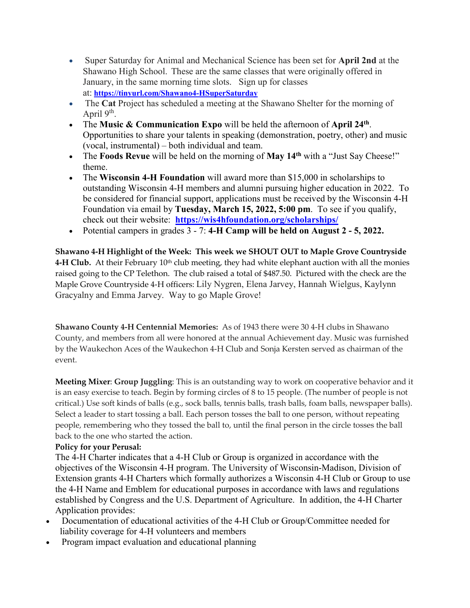- Super Saturday for Animal and Mechanical Science has been set for **April 2nd** at the Shawano High School. These are the same classes that were originally offered in January, in the same morning time slots. Sign up for classes at: **<https://tinyurl.com/Shawano4-HSuperSaturday>**
- The **Cat** Project has scheduled a meeting at the Shawano Shelter for the morning of April 9<sup>th</sup>.
- The **Music & Communication Expo** will be held the afternoon of **April 24th** . Opportunities to share your talents in speaking (demonstration, poetry, other) and music (vocal, instrumental) – both individual and team.
- The **Foods Revue** will be held on the morning of **May 14th** with a "Just Say Cheese!" theme.
- The **Wisconsin 4-H Foundation** will award more than \$15,000 in scholarships to outstanding Wisconsin 4-H members and alumni pursuing higher education in 2022. To be considered for financial support, applications must be received by the Wisconsin 4-H Foundation via email by **Tuesday, March 15, 2022, 5:00 pm**. To see if you qualify, check out their website: **<https://wis4hfoundation.org/scholarships/>**
- Potential campers in grades 3 7: **4-H Camp will be held on August 2 - 5, 2022.**

**Shawano 4-H Highlight of the Week: This week we SHOUT OUT to Maple Grove Countryside** 4-H Club. At their February 10<sup>th</sup> club meeting, they had white elephant auction with all the monies raised going to the CP Telethon. The club raised a total of \$487.50. Pictured with the check are the Maple Grove Countryside 4-H officers: Lily Nygren, Elena Jarvey, Hannah Wielgus, Kaylynn Gracyalny and Emma Jarvey. Way to go Maple Grove!

**Shawano County 4-H Centennial Memories:** As of 1943 there were 30 4-H clubs in Shawano County, and members from all were honored at the annual Achievement day. Music was furnished by the Waukechon Aces of the Waukechon 4-H Club and Sonja Kersten served as chairman of the event.

**Meeting Mixer**: **Group Juggling**: This is an outstanding way to work on cooperative behavior and it is an easy exercise to teach. Begin by forming circles of 8 to 15 people. (The number of people is not critical.) Use soft kinds of balls (e.g., sock balls, tennis balls, trash balls, foam balls, newspaper balls). Select a leader to start tossing a ball. Each person tosses the ball to one person, without repeating people, remembering who they tossed the ball to, until the final person in the circle tosses the ball back to the one who started the action.

## **Policy for your Perusal:**

The 4-H Charter indicates that a 4-H Club or Group is organized in accordance with the objectives of the Wisconsin 4-H program. The University of Wisconsin-Madison, Division of Extension grants 4-H Charters which formally authorizes a Wisconsin 4-H Club or Group to use the 4-H Name and Emblem for educational purposes in accordance with laws and regulations established by Congress and the U.S. Department of Agriculture. In addition, the 4-H Charter Application provides:

- Documentation of educational activities of the 4-H Club or Group/Committee needed for liability coverage for 4-H volunteers and members
- Program impact evaluation and educational planning